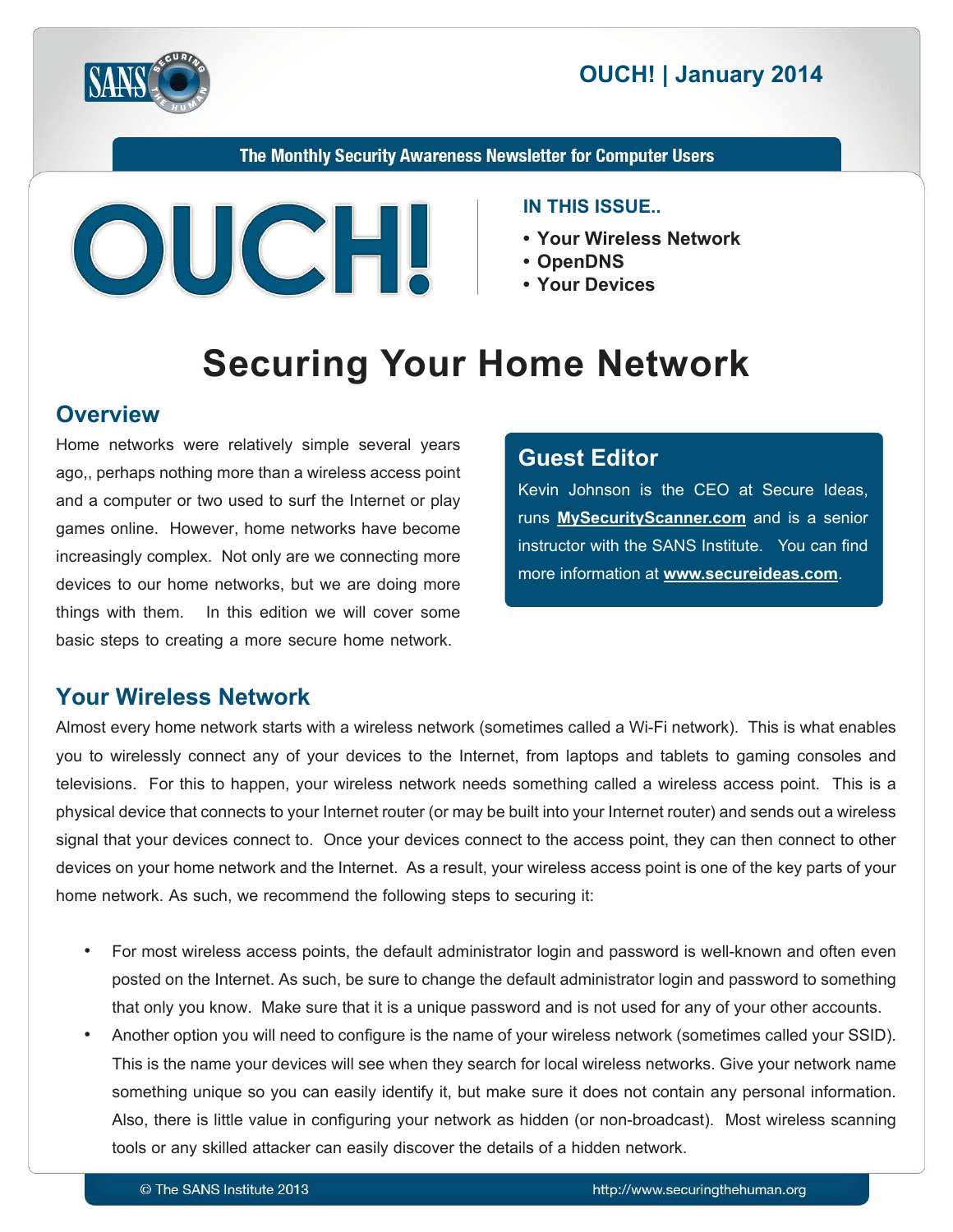

## **2014 | OUCH! | January 2014**

The Monthly Security Awareness Newsletter for Computer Users



#### **IN THIS ISSUE..**

- Your Wireless Network
- **OpenDNS•**
- Your Devices

# **Securing Your Home Network**

#### **Overview**

Home networks were relatively simple several years ago,, perhaps nothing more than a wireless access point and a computer or two used to surf the Internet or play games online. However, home networks have become increasingly complex. Not only are we connecting more devices to our home networks, but we are doing more things with them. In this edition we will cover some basic steps to creating a more secure home network.

#### **Editor Guest**

Kevin Johnson is the CEO at Secure Ideas. runs **MySecurityScanner.com** and is a senior instructor with the SANS Institute. You can find more information at **www.secureideas.com**.

#### **Your Wireless Network**

Almost every home network starts with a wireless network (sometimes called a Wi-Fi network). This is what enables you to wirelessly connect any of your devices to the Internet, from laptops and tablets to gaming consoles and televisions. For this to happen, your wireless network needs something called a wireless access point. This is a physical device that connects to your Internet router (or may be built into your Internet router) and sends out a wireless signal that your devices connect to. Once your devices connect to the access point, they can then connect to other devices on your home network and the Internet. As a result, your wireless access point is one of the key parts of your home network. As such, we recommend the following steps to securing it:

- For most wireless access points, the default administrator login and password is well-known and often even posted on the Internet. As such, be sure to change the default administrator login and password to something that only you know. Make sure that it is a unique password and is not used for any of your other accounts.
- Another option you will need to configure is the name of your wireless network (sometimes called your SSID). This is the name your devices will see when they search for local wireless networks. Give your network name something unique so you can easily identify it, but make sure it does not contain any personal information. Also, there is little value in configuring your network as hidden (or non-broadcast). Most wireless scanning tools or any skilled attacker can easily discover the details of a hidden network.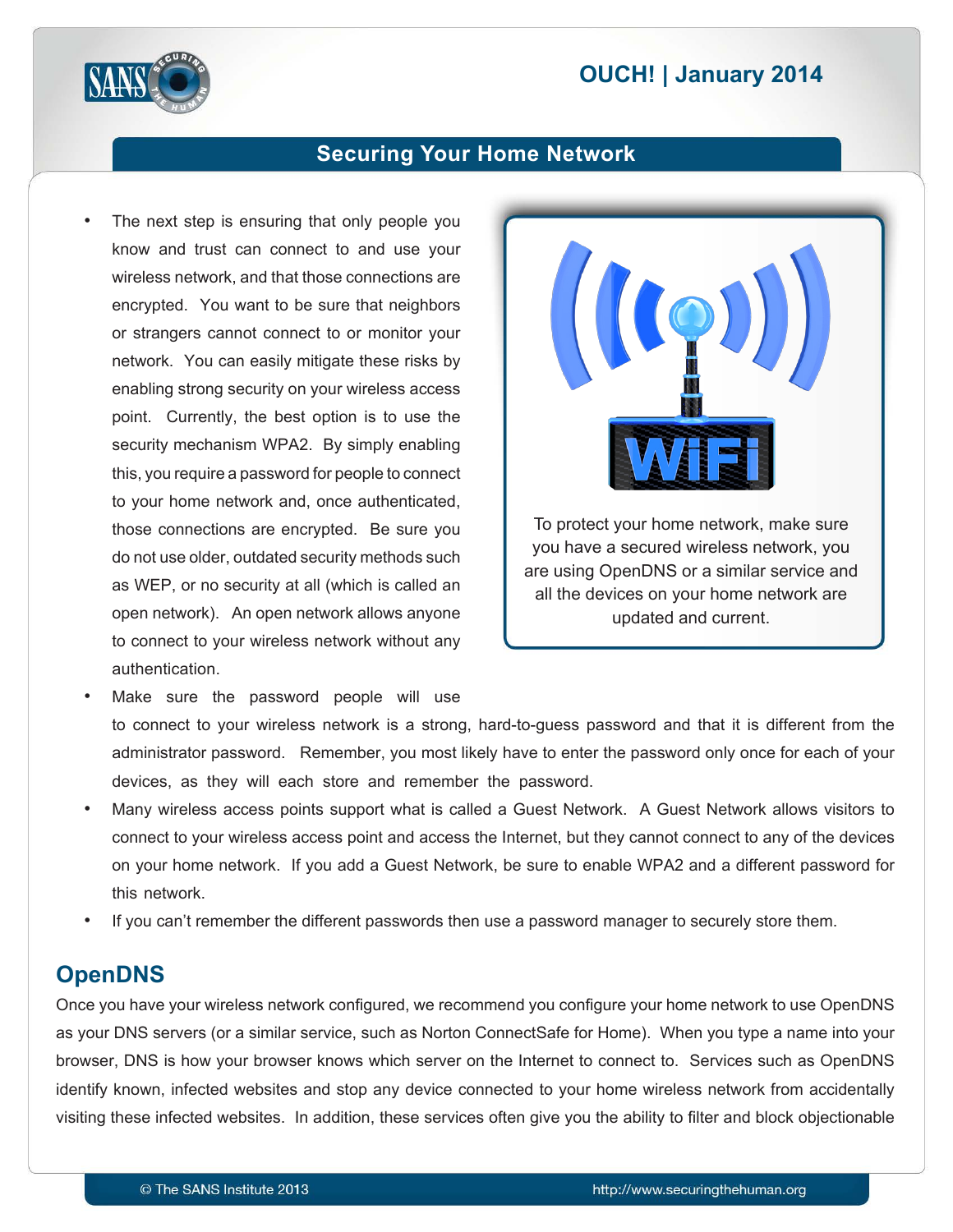## **2014 | OUCH! | January 2014**



#### **Securing Your Home Network**

The next step is ensuring that only people you know and trust can connect to and use your wireless network, and that those connections are encrypted. You want to be sure that neighbors or strangers cannot connect to or monitor your network. You can easily mitigate these risks by enabling strong security on your wireless access point. Currently, the best option is to use the security mechanism WPA2. By simply enabling this, you require a password for people to connect to your home network and, once authenticated, those connections are encrypted. Be sure you do not use older, outdated security methods such as WEP, or no security at all (which is called an open network). An open network allows anyone to connect to your wireless network without any .authentication



- Make sure the password people will use to connect to your wireless network is a strong, hard-to-guess password and that it is different from the administrator password. Remember, you most likely have to enter the password only once for each of your devices, as they will each store and remember the password.
- Many wireless access points support what is called a Guest Network. A Guest Network allows visitors to connect to your wireless access point and access the Internet, but they cannot connect to any of the devices on your home network. If you add a Guest Network, be sure to enable WPA2 and a different password for this network.
- If you can't remember the different passwords then use a password manager to securely store them.

#### **OpenDNS**

Once you have your wireless network configured, we recommend you configure your home network to use OpenDNS as your DNS servers (or a similar service, such as Norton ConnectSafe for Home). When you type a name into your browser, DNS is how your browser knows which server on the Internet to connect to. Services such as OpenDNS identify known, infected websites and stop any device connected to your home wireless network from accidentally visiting these infected websites. In addition, these services often give you the ability to filter and block objectionable